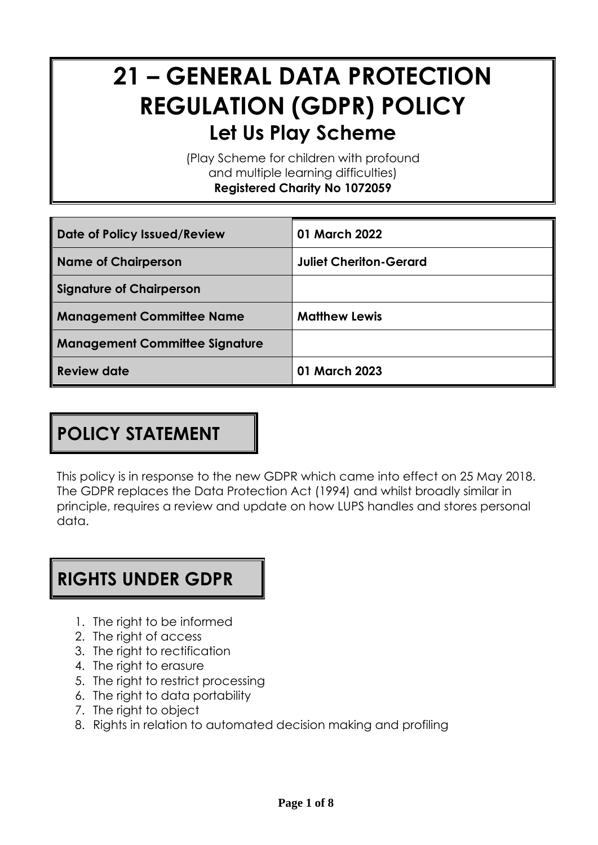# **21 – GENERAL DATA PROTECTION REGULATION (GDPR) POLICY Let Us Play Scheme**

(Play Scheme for children with profound and multiple learning difficulties) **Registered Charity No 1072059**

| Date of Policy Issued/Review          | 01 March 2022                 |
|---------------------------------------|-------------------------------|
| <b>Name of Chairperson</b>            | <b>Juliet Cheriton-Gerard</b> |
| <b>Signature of Chairperson</b>       |                               |
| <b>Management Committee Name</b>      | <b>Matthew Lewis</b>          |
| <b>Management Committee Signature</b> |                               |
| <b>Review date</b>                    | 01 March 2023                 |

# **POLICY STATEMENT**

This policy is in response to the new GDPR which came into effect on 25 May 2018. The GDPR replaces the Data Protection Act (1994) and whilst broadly similar in principle, requires a review and update on how LUPS handles and stores personal data.

#### **RIGHTS UNDER GDPR**

- 1. The right to be informed
- 2. The right of access
- 3. The right to rectification
- 4. The right to erasure
- 5. The right to restrict processing
- 6. The right to data portability
- 7. The right to object
- 8. Rights in relation to automated decision making and profiling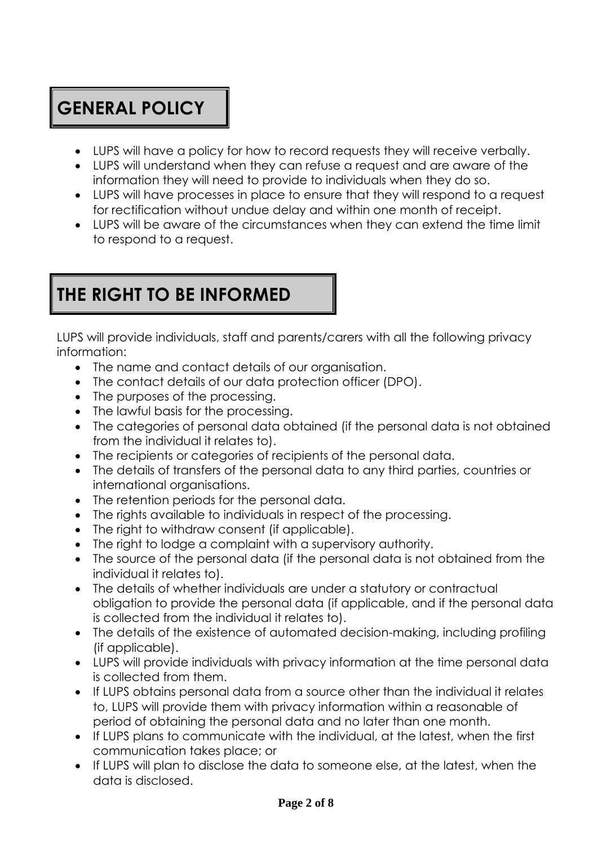# **GENERAL POLICY**

- LUPS will have a policy for how to record requests they will receive verbally.
- LUPS will understand when they can refuse a request and are aware of the information they will need to provide to individuals when they do so.
- LUPS will have processes in place to ensure that they will respond to a request for rectification without undue delay and within one month of receipt.
- LUPS will be aware of the circumstances when they can extend the time limit to respond to a request.

# **THE RIGHT TO BE INFORMED**

LUPS will provide individuals, staff and parents/carers with all the following privacy information:

- The name and contact details of our organisation.
- The contact details of our data protection officer (DPO).
- The purposes of the processing.
- The lawful basis for the processing.
- The categories of personal data obtained (if the personal data is not obtained from the individual it relates to).
- The recipients or categories of recipients of the personal data.
- The details of transfers of the personal data to any third parties, countries or international organisations.
- The retention periods for the personal data.
- The rights available to individuals in respect of the processing.
- The right to withdraw consent (if applicable).
- The right to lodge a complaint with a supervisory authority.
- The source of the personal data (if the personal data is not obtained from the individual it relates to).
- The details of whether individuals are under a statutory or contractual obligation to provide the personal data (if applicable, and if the personal data is collected from the individual it relates to).
- The details of the existence of automated decision-making, including profiling (if applicable).
- LUPS will provide individuals with privacy information at the time personal data is collected from them.
- If LUPS obtains personal data from a source other than the individual it relates to, LUPS will provide them with privacy information within a reasonable of period of obtaining the personal data and no later than one month.
- If LUPS plans to communicate with the individual, at the latest, when the first communication takes place; or
- If LUPS will plan to disclose the data to someone else, at the latest, when the data is disclosed.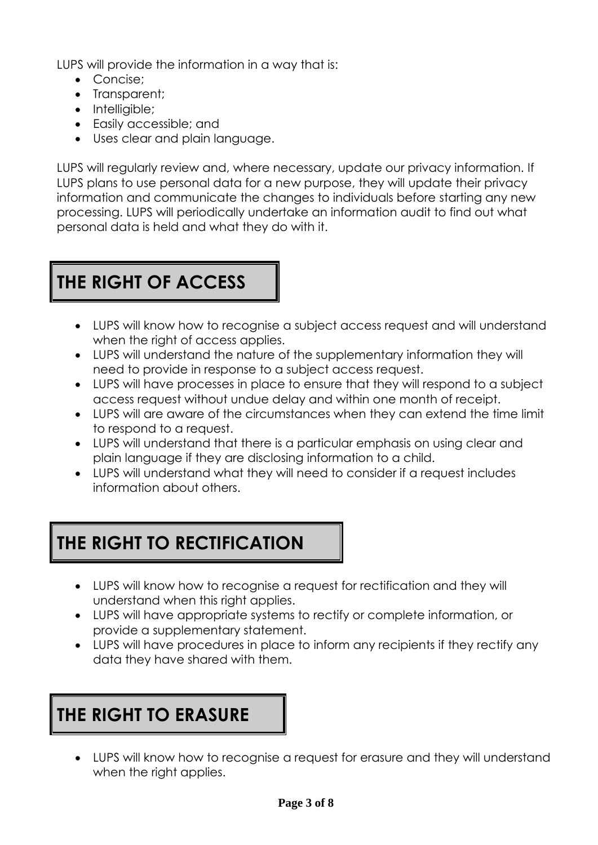LUPS will provide the information in a way that is:

- Concise:
- Transparent;
- Intelligible;
- Easily accessible; and
- Uses clear and plain language.

LUPS will regularly review and, where necessary, update our privacy information. If LUPS plans to use personal data for a new purpose, they will update their privacy information and communicate the changes to individuals before starting any new processing. LUPS will periodically undertake an information audit to find out what personal data is held and what they do with it.

# **THE RIGHT OF ACCESS**

- LUPS will know how to recognise a subject access request and will understand when the right of access applies.
- LUPS will understand the nature of the supplementary information they will need to provide in response to a subject access request.
- LUPS will have processes in place to ensure that they will respond to a subject access request without undue delay and within one month of receipt.
- LUPS will are aware of the circumstances when they can extend the time limit to respond to a request.
- LUPS will understand that there is a particular emphasis on using clear and plain language if they are disclosing information to a child.
- LUPS will understand what they will need to consider if a request includes information about others.

## **THE RIGHT TO RECTIFICATION**

- LUPS will know how to recognise a request for rectification and they will understand when this right applies.
- LUPS will have appropriate systems to rectify or complete information, or provide a supplementary statement.
- LUPS will have procedures in place to inform any recipients if they rectify any data they have shared with them.

#### **THE RIGHT TO ERASURE**

• LUPS will know how to recognise a request for erasure and they will understand when the right applies.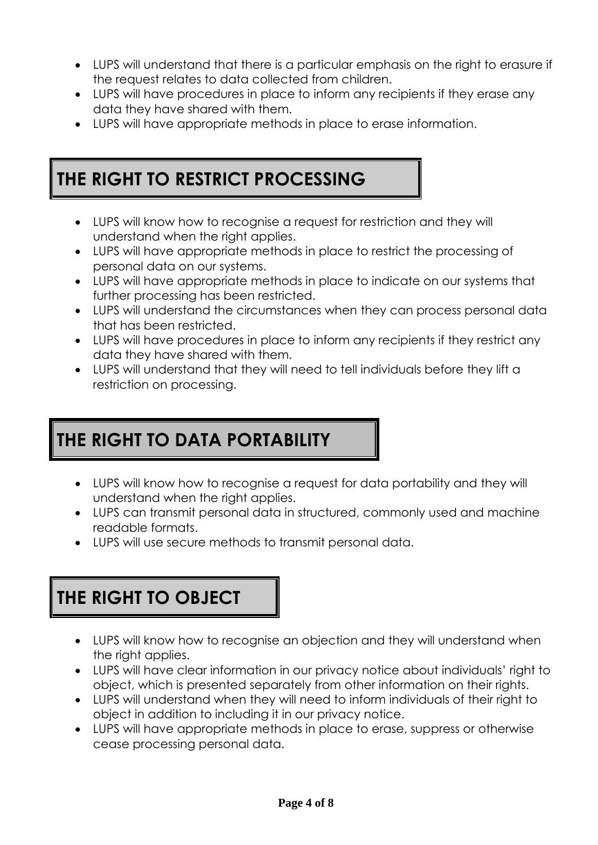- LUPS will understand that there is a particular emphasis on the right to erasure if the request relates to data collected from children.
- LUPS will have procedures in place to inform any recipients if they erase any data they have shared with them.
- LUPS will have appropriate methods in place to erase information.

#### **THE RIGHT TO RESTRICT PROCESSING**

- LUPS will know how to recognise a request for restriction and they will understand when the right applies.
- LUPS will have appropriate methods in place to restrict the processing of personal data on our systems.
- LUPS will have appropriate methods in place to indicate on our systems that further processing has been restricted.
- LUPS will understand the circumstances when they can process personal data that has been restricted.
- LUPS will have procedures in place to inform any recipients if they restrict any data they have shared with them.
- LUPS will understand that they will need to tell individuals before they lift a restriction on processing.

## **THE RIGHT TO DATA PORTABILITY**

- LUPS will know how to recognise a request for data portability and they will understand when the right applies.
- LUPS can transmit personal data in structured, commonly used and machine readable formats.
- LUPS will use secure methods to transmit personal data.

#### **THE RIGHT TO OBJECT**

- LUPS will know how to recognise an objection and they will understand when the right applies.
- LUPS will have clear information in our privacy notice about individuals' right to object, which is presented separately from other information on their rights.
- LUPS will understand when they will need to inform individuals of their right to object in addition to including it in our privacy notice.
- LUPS will have appropriate methods in place to erase, suppress or otherwise cease processing personal data.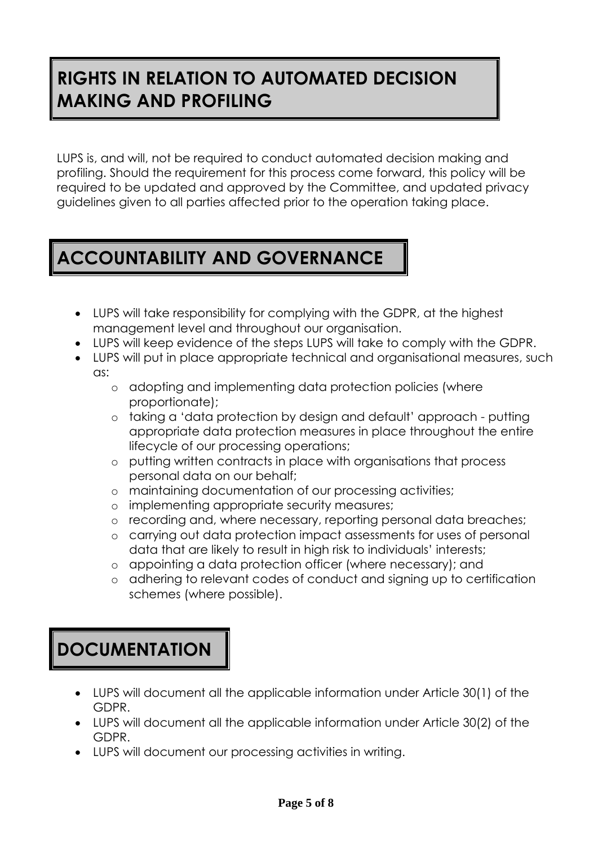## **RIGHTS IN RELATION TO AUTOMATED DECISION MAKING AND PROFILING**

LUPS is, and will, not be required to conduct automated decision making and profiling. Should the requirement for this process come forward, this policy will be required to be updated and approved by the Committee, and updated privacy guidelines given to all parties affected prior to the operation taking place.

# **ACCOUNTABILITY AND GOVERNANCE**

- LUPS will take responsibility for complying with the GDPR, at the highest management level and throughout our organisation.
- LUPS will keep evidence of the steps LUPS will take to comply with the GDPR.
- LUPS will put in place appropriate technical and organisational measures, such as:
	- o adopting and implementing data protection policies (where proportionate);
	- o taking a 'data protection by design and default' approach putting appropriate data protection measures in place throughout the entire lifecycle of our processing operations;
	- o putting written contracts in place with organisations that process personal data on our behalf;
	- o maintaining documentation of our processing activities;
	- o implementing appropriate security measures;
	- o recording and, where necessary, reporting personal data breaches;
	- o carrying out data protection impact assessments for uses of personal data that are likely to result in high risk to individuals' interests;
	- o appointing a data protection officer (where necessary); and
	- o adhering to relevant codes of conduct and signing up to certification schemes (where possible).

# **DOCUMENTATION**

- LUPS will document all the applicable information under Article 30(1) of the GDPR.
- LUPS will document all the applicable information under Article 30(2) of the GDPR.
- LUPS will document our processing activities in writing.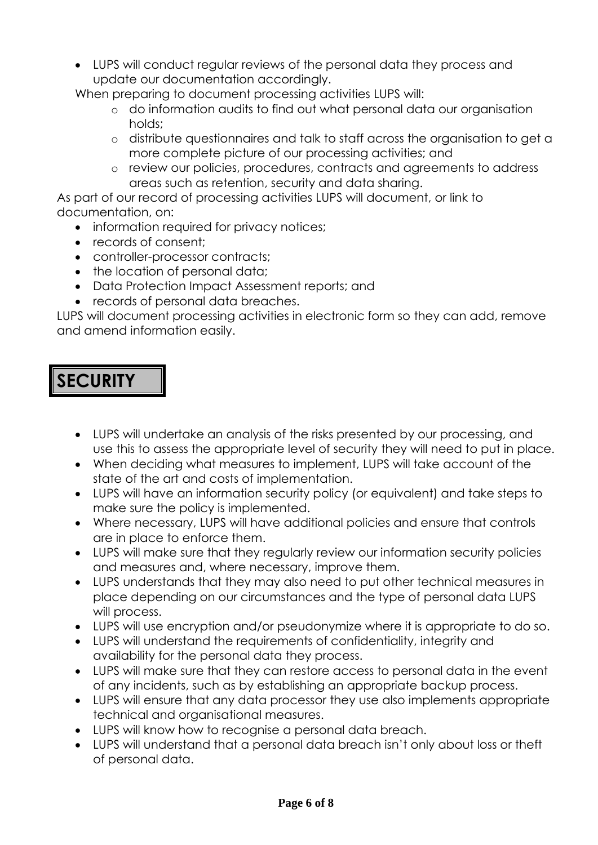• LUPS will conduct regular reviews of the personal data they process and update our documentation accordingly.

When preparing to document processing activities LUPS will:

- o do information audits to find out what personal data our organisation holds;
- o distribute questionnaires and talk to staff across the organisation to get a more complete picture of our processing activities; and
- o review our policies, procedures, contracts and agreements to address areas such as retention, security and data sharing.

As part of our record of processing activities LUPS will document, or link to documentation, on:

- information required for privacy notices;
- records of consent;
- controller-processor contracts;
- the location of personal data;
- Data Protection Impact Assessment reports; and
- records of personal data breaches.

LUPS will document processing activities in electronic form so they can add, remove and amend information easily.

#### **SECURITY**

- LUPS will undertake an analysis of the risks presented by our processing, and use this to assess the appropriate level of security they will need to put in place.
- When deciding what measures to implement, LUPS will take account of the state of the art and costs of implementation.
- LUPS will have an information security policy (or equivalent) and take steps to make sure the policy is implemented.
- Where necessary, LUPS will have additional policies and ensure that controls are in place to enforce them.
- LUPS will make sure that they regularly review our information security policies and measures and, where necessary, improve them.
- LUPS understands that they may also need to put other technical measures in place depending on our circumstances and the type of personal data LUPS will process.
- LUPS will use encryption and/or pseudonymize where it is appropriate to do so.
- LUPS will understand the requirements of confidentiality, integrity and availability for the personal data they process.
- LUPS will make sure that they can restore access to personal data in the event of any incidents, such as by establishing an appropriate backup process.
- LUPS will ensure that any data processor they use also implements appropriate technical and organisational measures.
- LUPS will know how to recognise a personal data breach.
- LUPS will understand that a personal data breach isn't only about loss or theft of personal data.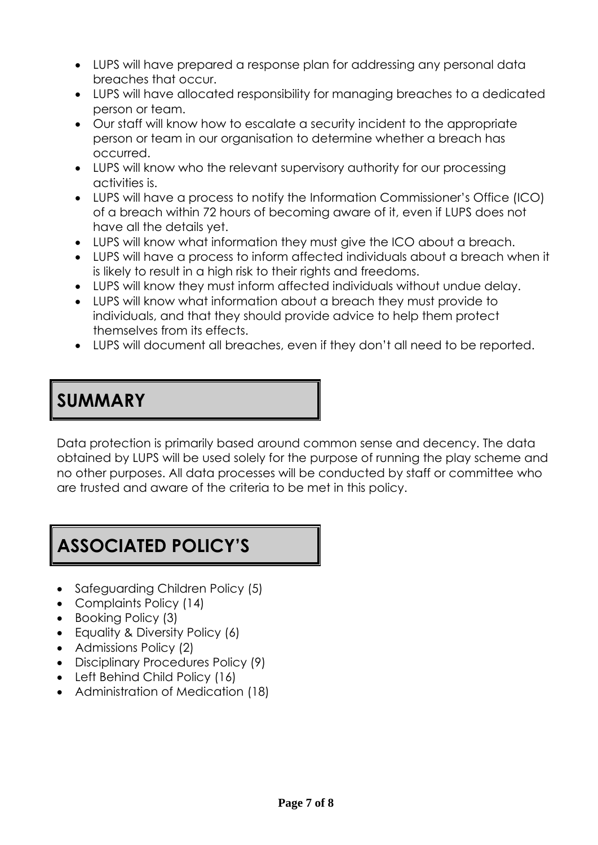- LUPS will have prepared a response plan for addressing any personal data breaches that occur.
- LUPS will have allocated responsibility for managing breaches to a dedicated person or team.
- Our staff will know how to escalate a security incident to the appropriate person or team in our organisation to determine whether a breach has occurred.
- LUPS will know who the relevant supervisory authority for our processing activities is.
- LUPS will have a process to notify the Information Commissioner's Office (ICO) of a breach within 72 hours of becoming aware of it, even if LUPS does not have all the details yet.
- LUPS will know what information they must give the ICO about a breach.
- LUPS will have a process to inform affected individuals about a breach when it is likely to result in a high risk to their rights and freedoms.
- LUPS will know they must inform affected individuals without undue delay.
- LUPS will know what information about a breach they must provide to individuals, and that they should provide advice to help them protect themselves from its effects.
- LUPS will document all breaches, even if they don't all need to be reported.

## **SUMMARY**

Data protection is primarily based around common sense and decency. The data obtained by LUPS will be used solely for the purpose of running the play scheme and no other purposes. All data processes will be conducted by staff or committee who are trusted and aware of the criteria to be met in this policy.

#### **ASSOCIATED POLICY'S**

- Safeguarding Children Policy (5)
- Complaints Policy (14)
- Booking Policy (3)
- Equality & Diversity Policy (6)
- Admissions Policy (2)
- Disciplinary Procedures Policy (9)
- Left Behind Child Policy (16)
- Administration of Medication (18)